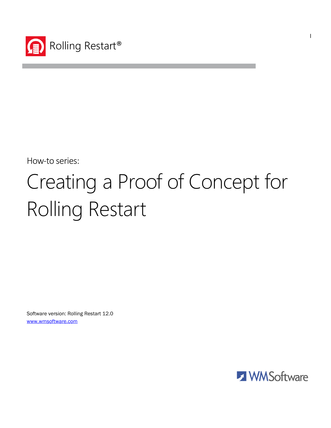

How-to series:

# Creating a Proof of Concept for Rolling Restart

Software version: Rolling Restart 12.0 www.wmsoftware.com



l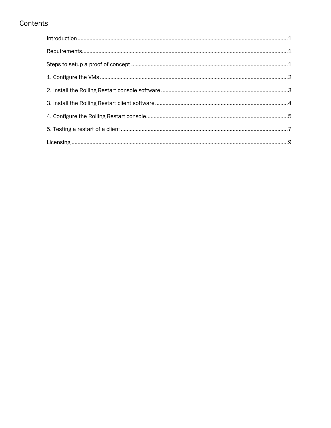# Contents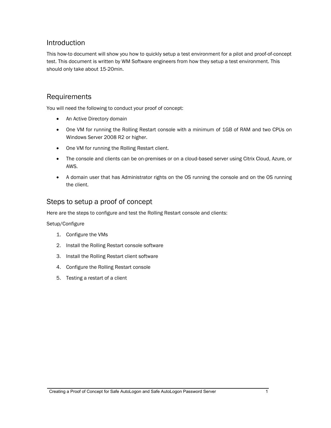#### Introduction

This how-to document will show you how to quickly setup a test environment for a pilot and proof-of-concept test. This document is written by WM Software engineers from how they setup a test environment. This should only take about 15-20min.

#### Requirements

You will need the following to conduct your proof of concept:

- An Active Directory domain
- One VM for running the Rolling Restart console with a minimum of 1GB of RAM and two CPUs on Windows Server 2008 R2 or higher.
- One VM for running the Rolling Restart client.
- The console and clients can be on-premises or on a cloud-based server using Citrix Cloud, Azure, or AWS.
- A domain user that has Administrator rights on the OS running the console and on the OS running the client.

# Steps to setup a proof of concept

Here are the steps to configure and test the Rolling Restart console and clients:

Setup/Configure

- 1. Configure the VMs
- 2. Install the Rolling Restart console software
- 3. Install the Rolling Restart client software
- 4. Configure the Rolling Restart console
- 5. Testing a restart of a client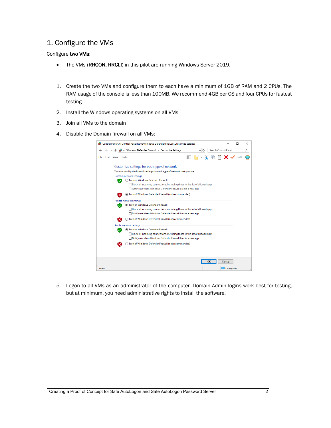# 1. Configure the VMs

#### Configure two VMs:

- The VMs (RRCON, RRCLI) in this pilot are running Windows Server 2019.
- 1. Create the two VMs and configure them to each have a minimum of 1GB of RAM and 2 CPUs. The RAM usage of the console is less than 100MB. We recommend 4GB per OS and four CPUs for fastest testing.
- 2. Install the Windows operating systems on all VMs
- 3. Join all VMs to the domain
- 4. Disable the Domain firewall on all VMs:

|              | Control Panel\All Control Panel Items\Windows Defender Firewall\Customize Settings | × |
|--------------|------------------------------------------------------------------------------------|---|
|              | « Windows Defender Firewall > Customize Settings<br>Search Control Panel           | α |
| Edit<br>File | $F \cdot \lambda \,$ in $\blacksquare$ x $\checkmark$ $\blacksquare$<br>View Tools |   |
|              | Customize settings for each type of network                                        |   |
|              | You can modify the firewall settings for each type of network that you use.        |   |
|              | Domain network settings                                                            |   |
|              | ◯ Turn on Windows Defender Firewall                                                |   |
|              | Block all incoming connections, including those in the list of allowed apps        |   |
|              | Notify me when Windows Defender Firewall blocks a new app                          |   |
|              | Turn off Windows Defender Firewall (not recommended)                               |   |
|              | Private network settings                                                           |   |
|              | Turn on Windows Defender Firewall                                                  |   |
|              | Block all incoming connections, including those in the list of allowed apps        |   |
|              | Notify me when Windows Defender Firewall blocks a new app                          |   |
|              | ◯ Turn off Windows Defender Firewall (not recommended)                             |   |
|              | Public network settings                                                            |   |
|              | (a) Turn on Windows Defender Firewall                                              |   |
|              | Block all incoming connections, including those in the list of allowed apps        |   |
|              | Notify me when Windows Defender Firewall blocks a new app                          |   |
|              | Turn off Windows Defender Firewall (not recommended)                               |   |
|              |                                                                                    |   |
|              |                                                                                    |   |
|              | ОΚ<br>Cancel                                                                       |   |
| 0 items      | Computer                                                                           |   |

5. Logon to all VMs as an administrator of the computer. Domain Admin logins work best for testing, but at minimum, you need administrative rights to install the software.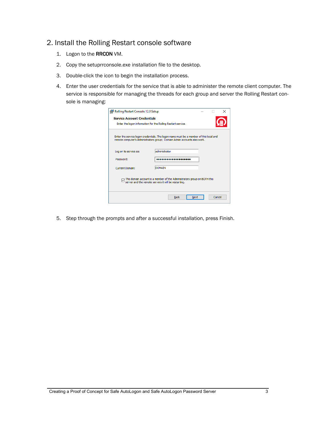# 2. Install the Rolling Restart console software

- 1. Logon to the RRCON VM.
- 2. Copy the setuprrconsole.exe installation file to the desktop.
- 3. Double-click the icon to begin the installation process.
- 4. Enter the user credentials for the service that is able to administer the remote client computer. The service is responsible for managing the threads for each group and server the Rolling Restart console is managing:

| Rolling Restart Console 12.0 Setup                                                                                                                                 |                                                                                                                                         |      |        |  |
|--------------------------------------------------------------------------------------------------------------------------------------------------------------------|-----------------------------------------------------------------------------------------------------------------------------------------|------|--------|--|
| <b>Service Account Credentials</b>                                                                                                                                 |                                                                                                                                         |      |        |  |
| Enter the logon information for the Rolling Restart service.                                                                                                       |                                                                                                                                         |      |        |  |
| Enter the service logon credentials. The logon name must be a member of this local and<br>remote computer's Administrators group; Domain Admin accounts also work. |                                                                                                                                         |      |        |  |
| Log on to service as:                                                                                                                                              | administrator                                                                                                                           |      |        |  |
| Password:                                                                                                                                                          |                                                                                                                                         |      |        |  |
| <b>Current Domain:</b>                                                                                                                                             | <b>DOMAIN</b>                                                                                                                           |      |        |  |
|                                                                                                                                                                    | $\Box$ This domain account is a member of the Administrators group on BOTH this<br>server and the remote servers it will be restarting. |      |        |  |
|                                                                                                                                                                    | <b>Back</b>                                                                                                                             | Next | Cancel |  |

5. Step through the prompts and after a successful installation, press Finish.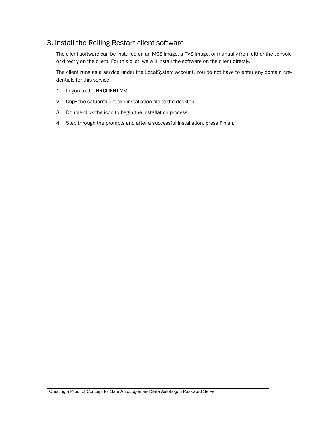# 3. Install the Rolling Restart client software

The client software can be installed on an MCS image, a PVS image, or manually from either the console or directly on the client. For this pilot, we will install the software on the client directly.

The client runs as a service under the LocalSystem account. You do not have to enter any domain credentials for this service.

- 1. Logon to the RRCLIENT VM.
- 2. Copy the setuprrclient.exe installation file to the desktop.
- 3. Double-click the icon to begin the installation process.
- 4. Step through the prompts and after a successful installation, press Finish.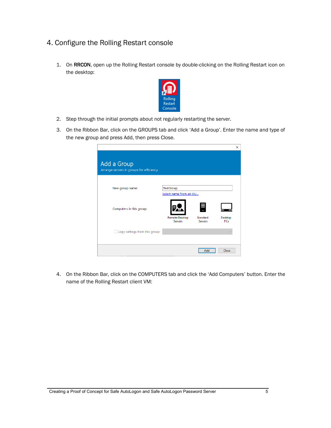- 4. Configure the Rolling Restart console
	- 1. On RRCON, open up the Rolling Restart console by double-clicking on the Rolling Restart icon on the desktop:



- 2. Step through the initial prompts about not regularly restarting the server.
- 3. On the Ribbon Bar, click on the GROUPS tab and click 'Add a Group'. Enter the name and type of the new group and press Add, then press Close.

|                                                         |                                            |                | ×          |
|---------------------------------------------------------|--------------------------------------------|----------------|------------|
| Add a Group<br>Arrange servers in groups for efficiency |                                            |                |            |
| New group name:                                         | <b>TestGroup</b><br>Select name from an OU |                |            |
| Computers in this group:                                | <b>Remote Desktop</b>                      | Standard       | Desktop    |
| Copy settings from this group:                          | <b>Servers</b>                             | <b>Servers</b> | <b>PCs</b> |
|                                                         |                                            | Add            | Close      |

4. On the Ribbon Bar, click on the COMPUTERS tab and click the 'Add Computers' button. Enter the name of the Rolling Restart client VM: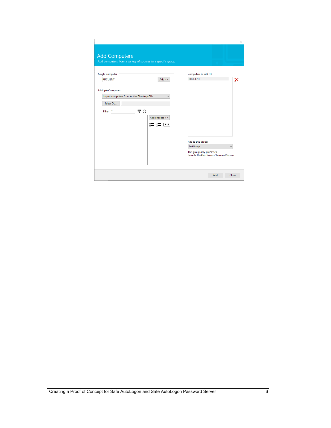|                                                                                       | Add computers from a variety of sources to a specific group |                                                                       |
|---------------------------------------------------------------------------------------|-------------------------------------------------------------|-----------------------------------------------------------------------|
| <b>Single Computer</b>                                                                |                                                             | Computers to add (1):                                                 |
| <b>RRCLIENT</b><br><b>Multiple Computers</b>                                          | $Add \geq$                                                  | <b>RRCLIENT</b><br>X                                                  |
| Import computers from Active Directory OUs<br>Select OU<br>7 C<br><b>Filter:</b><br>× | Add checked >><br>8= 8=<br>$cts$                            |                                                                       |
|                                                                                       |                                                             |                                                                       |
|                                                                                       |                                                             | Add to this group:                                                    |
|                                                                                       |                                                             | <b>TestGroup</b>                                                      |
|                                                                                       |                                                             | This group only processes:<br>Remote Desktop Servers/Terminal Servers |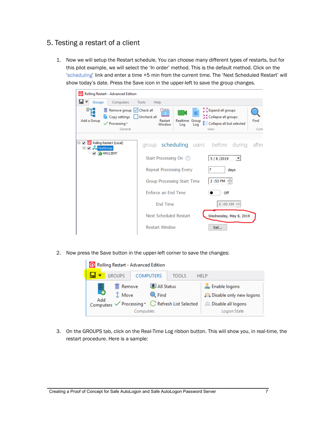# 5. Testing a restart of a client

1. Now we will setup the Restart schedule. You can choose many different types of restarts, but for this pilot example, we will select the 'In order' method. This is the default method. Click on the 'scheduling' link and enter a time +5 min from the current time. The 'Next Scheduled Restart' will show today's date. Press the Save icon in the upper-left to save the group changes.

| Rolling Restart - Advanced Edition                                                                      |                                                                                                                                                                                      |                        |  |  |  |
|---------------------------------------------------------------------------------------------------------|--------------------------------------------------------------------------------------------------------------------------------------------------------------------------------------|------------------------|--|--|--|
| Ш ≂<br>Groups<br>Computers                                                                              | Tools<br>Help                                                                                                                                                                        |                        |  |  |  |
| Remove group  V Check all<br>Copy settings<br>Add a Group<br>$\sqrt{P}$ rocessing $\sqrt{P}$<br>General | Sexpand all groups<br>) በተወ<br>A Collapse all groups<br>Uncheck all<br>Realtime Group<br>Restart<br>$\frac{a}{b}$ $\equiv$ Collapse all but selected<br>Window<br>Log<br>Log<br>View | Find<br>Com            |  |  |  |
| □ 2 Rolling Restart (Local)<br>□ 2 H TestGroup<br><b>P</b> RRCLIENT                                     | group scheduling users before during                                                                                                                                                 | after                  |  |  |  |
|                                                                                                         | Start Processing On (?)<br>5/8/2019                                                                                                                                                  |                        |  |  |  |
|                                                                                                         | Repeat Processing Every                                                                                                                                                              | days                   |  |  |  |
|                                                                                                         | $2:53$ PM $-$<br>Group Processing Start Time                                                                                                                                         |                        |  |  |  |
|                                                                                                         | Enforce an End Time<br>Off                                                                                                                                                           |                        |  |  |  |
|                                                                                                         | <b>End Time</b>                                                                                                                                                                      | $6:00 AM -$            |  |  |  |
|                                                                                                         | Next Scheduled Restart                                                                                                                                                               | Wednesday, May 8, 2019 |  |  |  |
|                                                                                                         | <b>Restart Window</b><br>Set                                                                                                                                                         |                        |  |  |  |

2. Now press the Save button in the upper-left corner to save the changes:



3. On the GROUPS tab, click on the Real-Time Log ribbon button. This will show you, in real-time, the restart procedure. Here is a sample: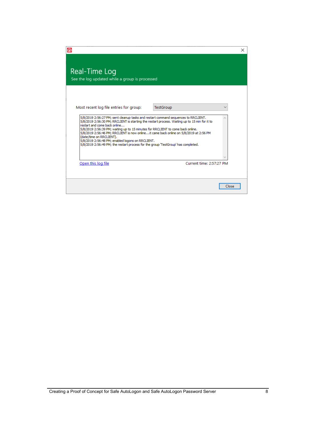| ⋒                                                                                                                                                                                                                                                                                                                                                                                                                                                                                                                                                                    | ×     |
|----------------------------------------------------------------------------------------------------------------------------------------------------------------------------------------------------------------------------------------------------------------------------------------------------------------------------------------------------------------------------------------------------------------------------------------------------------------------------------------------------------------------------------------------------------------------|-------|
| Real-Time Log<br>See the log updated while a group is processed                                                                                                                                                                                                                                                                                                                                                                                                                                                                                                      |       |
| Most recent log file entries for group:<br>TestGroup                                                                                                                                                                                                                                                                                                                                                                                                                                                                                                                 |       |
| 5/8/2019 2:56:27 PM; sent cleanup tasks and restart command sequences to RRCLIENT.<br>5/8/2019 2:56:30 PM; RRCLIENT is starting the restart process. Waiting up to 15 min for it to<br>restart and come back online<br>5/8/2019 2:56:39 PM; waiting up to 15 minutes for RRCLIENT to come back online.<br>5/8/2019 2:56:46 PM; RRCLIENT is now onlineit came back online on 5/8/2019 at 2:56 PM<br>(date/time on RRCLIENT).<br>5/8/2019 2:56:48 PM; enabled logons on RRCLIENT.<br>5/8/2019 2:56:49 PM; the restart process for the group 'TestGroup' has completed. |       |
| Current time: 2:57:27 PM<br>Open this log file                                                                                                                                                                                                                                                                                                                                                                                                                                                                                                                       |       |
|                                                                                                                                                                                                                                                                                                                                                                                                                                                                                                                                                                      | Close |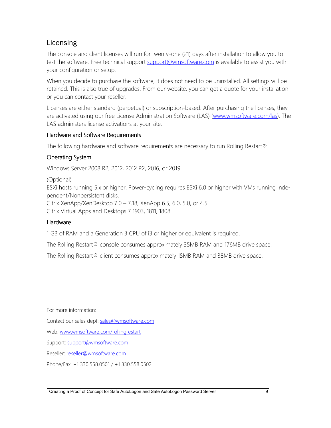# Licensing

The console and client licenses will run for twenty-one (21) days after installation to allow you to test the software. Free technical support support@wmsoftware.com is available to assist you with your configuration or setup.

When you decide to purchase the software, it does not need to be uninstalled. All settings will be retained. This is also true of upgrades. From our website, you can get a quote for your installation or you can contact your reseller.

Licenses are either standard (perpetual) or subscription-based. After purchasing the licenses, they are activated using our free License Administration Software (LAS) (www.wmsoftware.com/las). The LAS administers license activations at your site.

## Hardware and Software Requirements

The following hardware and software requirements are necessary to run Rolling Restart®:

# Operating System

Windows Server 2008 R2, 2012, 2012 R2, 2016, or 2019

(Optional)

ESXi hosts running 5.x or higher. Power-cycling requires ESXi 6.0 or higher with VMs running Independent/Nonpersistent disks.

Citrix XenApp/XenDesktop 7.0 – 7.18, XenApp 6.5, 6.0, 5.0, or 4.5 Citrix Virtual Apps and Desktops 7 1903, 1811, 1808

## Hardware

1 GB of RAM and a Generation 3 CPU of i3 or higher or equivalent is required.

The Rolling Restart® console consumes approximately 35MB RAM and 176MB drive space.

The Rolling Restart® client consumes approximately 15MB RAM and 38MB drive space.

For more information:

Contact our sales dept: sales@wmsoftware.com

Web: www.wmsoftware.com/rollingrestart

Support: support@wmsoftware.com

Reseller: reseller@wmsoftware.com

Phone/Fax: +1 330.558.0501 / +1 330.558.0502